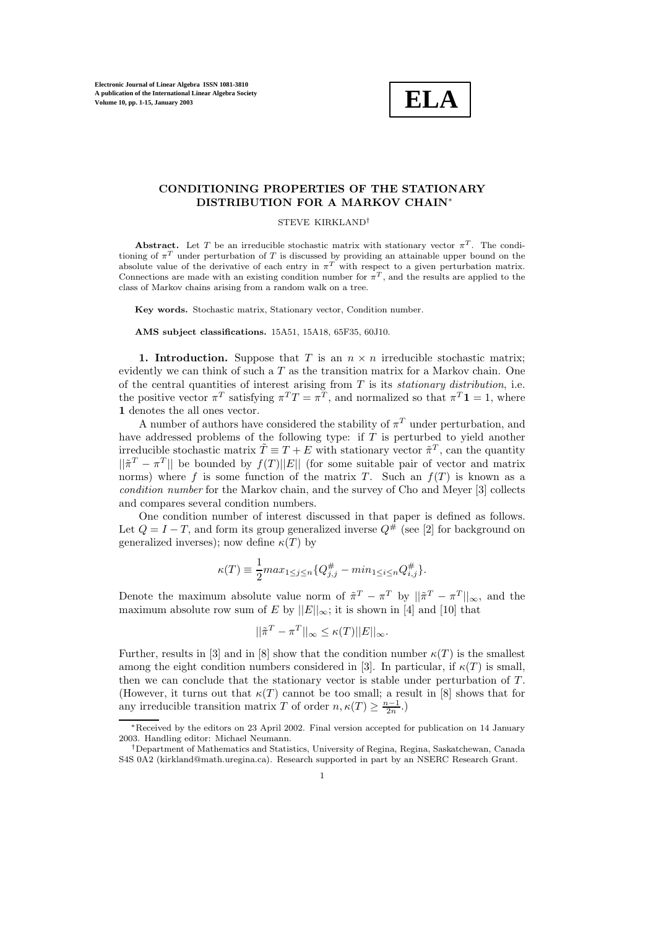

# **CONDITIONING PROPERTIES OF THE STATIONARY DISTRIBUTION FOR A MARKOV CHAIN**∗

#### STEVE KIRKLAND†

**Abstract.** Let T be an irreducible stochastic matrix with stationary vector  $\pi^T$ . The conditioning of  $\pi^T$  under perturbation of T is discussed by providing an attainable upper bound on the absolute value of the derivative of each entry in  $\pi^T$  with respect to a given perturbation matrix. Connections are made with an existing condition number for  $\pi^{T}$ , and the results are applied to the class of Markov chains arising from a random walk on a tree.

**Key words.** Stochastic matrix, Stationary vector, Condition number.

**AMS subject classifications.** 15A51, 15A18, 65F35, 60J10.

**1. Introduction.** Suppose that T is an  $n \times n$  irreducible stochastic matrix; evidently we can think of such a  $T$  as the transition matrix for a Markov chain. One of the central quantities of interest arising from T is its *stationary distribution*, i.e. the positive vector  $\pi^T$  satisfying  $\pi^T T = \pi^T$ , and normalized so that  $\pi^T \mathbf{1} = 1$ , where **1** denotes the all ones vector.

A number of authors have considered the stability of  $\pi^T$  under perturbation, and have addressed problems of the following type: if T is perturbed to yield another irreducible stochastic matrix  $\tilde{T} \equiv T + E$  with stationary vector  $\tilde{\pi}^T$ , can the quantity  $||\tilde{\pi}^T - \pi^T||$  be bounded by  $f(T)||E||$  (for some suitable pair of vector and matrix norms) where f is some function of the matrix T. Such an  $f(T)$  is known as a *condition number* for the Markov chain, and the survey of Cho and Meyer [3] collects and compares several condition numbers.

One condition number of interest discussed in that paper is defined as follows. Let  $Q = I - T$ , and form its group generalized inverse  $Q^{\#}$  (see [2] for background on generalized inverses); now define  $\kappa(T)$  by

$$
\kappa(T) \equiv \frac{1}{2} max_{1 \leq j \leq n} \{ Q_{j,j}^{\#} - min_{1 \leq i \leq n} Q_{i,j}^{\#} \}.
$$

Denote the maximum absolute value norm of  $\tilde{\pi}^T - \pi^T$  by  $||\tilde{\pi}^T - \pi^T||_{\infty}$ , and the maximum absolute row sum of E by  $||E||_{\infty}$ ; it is shown in [4] and [10] that

$$
||\tilde{\pi}^T - \pi^T||_{\infty} \le \kappa(T) ||E||_{\infty}.
$$

Further, results in [3] and in [8] show that the condition number  $\kappa(T)$  is the smallest among the eight condition numbers considered in [3]. In particular, if  $\kappa(T)$  is small, then we can conclude that the stationary vector is stable under perturbation of  $T$ . (However, it turns out that  $\kappa(T)$  cannot be too small; a result in [8] shows that for any irreducible transition matrix T of order  $n, \kappa(T) \geq \frac{n-1}{2n}$ .)

<sup>∗</sup>Received by the editors on 23 April 2002. Final version accepted for publication on 14 January 2003. Handling editor: Michael Neumann.

<sup>†</sup>Department of Mathematics and Statistics, University of Regina, Regina, Saskatchewan, Canada S4S 0A2 (kirkland@math.uregina.ca). Research supported in part by an NSERC Research Grant.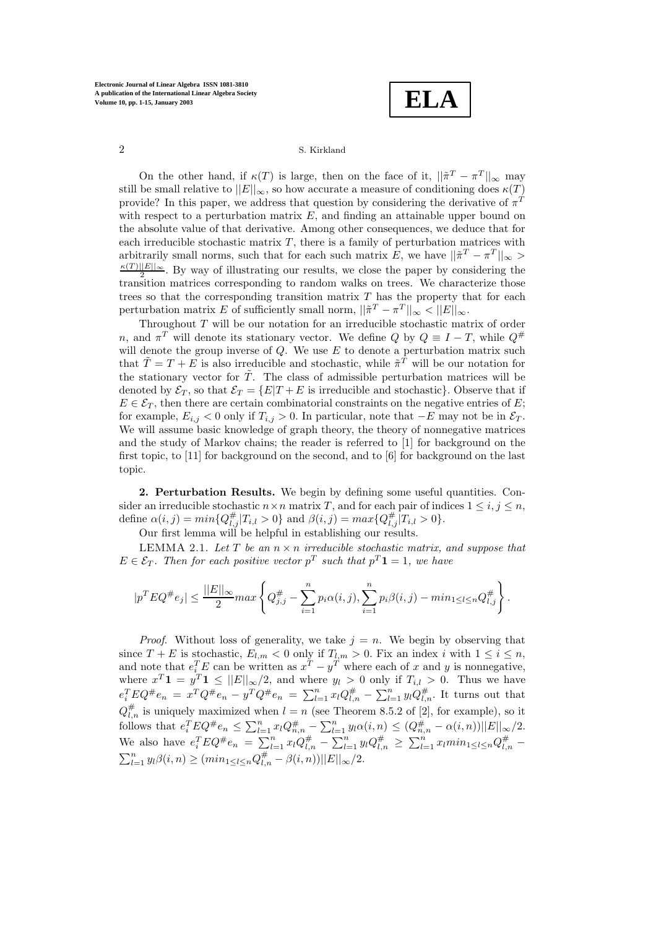**ELA**

On the other hand, if  $\kappa(T)$  is large, then on the face of it,  $||\tilde{\pi}^T - \pi^T||_{\infty}$  may still be small relative to  $||E||_{\infty}$ , so how accurate a measure of conditioning does  $\kappa(T)$ provide? In this paper, we address that question by considering the derivative of  $\pi^T$ with respect to a perturbation matrix  $E$ , and finding an attainable upper bound on the absolute value of that derivative. Among other consequences, we deduce that for each irreducible stochastic matrix  $T$ , there is a family of perturbation matrices with arbitrarily small norms, such that for each such matrix E, we have  $||\tilde{\pi}^T - \pi^T||_{\infty}$  $\frac{\kappa(T)||E||_{\infty}}{2}$ . By way of illustrating our results, we close the paper by considering the transition matrices corresponding to random walks on trees. We characterize those trees so that the corresponding transition matrix  $T$  has the property that for each perturbation matrix E of sufficiently small norm,  $||\tilde{\pi}^T - \pi^T||_{\infty} < ||E||_{\infty}$ .

Throughout T will be our notation for an irreducible stochastic matrix of order n, and  $\pi^T$  will denote its stationary vector. We define Q by  $Q \equiv I - T$ , while  $Q^{\#}$ will denote the group inverse of  $Q$ . We use  $E$  to denote a perturbation matrix such that  $\tilde{T} = T + E$  is also irreducible and stochastic, while  $\tilde{\pi}^T$  will be our notation for the stationary vector for  $\tilde{T}$ . The class of admissible perturbation matrices will be denoted by  $\mathcal{E}_T$ , so that  $\mathcal{E}_T = \{E|T+E$  is irreducible and stochastic}. Observe that if  $E \in \mathcal{E}_T$ , then there are certain combinatorial constraints on the negative entries of E; for example,  $E_{i,j} < 0$  only if  $T_{i,j} > 0$ . In particular, note that  $-E$  may not be in  $\mathcal{E}_{T}$ . We will assume basic knowledge of graph theory, the theory of nonnegative matrices and the study of Markov chains; the reader is referred to [1] for background on the first topic, to [11] for background on the second, and to [6] for background on the last topic.

**2. Perturbation Results.** We begin by defining some useful quantities. Consider an irreducible stochastic  $n \times n$  matrix T, and for each pair of indices  $1 \leq i, j \leq n$ , define  $\alpha(i, j) = min\{Q_{i,j}^{\#}|T_{i,l} > 0\}$  and  $\beta(i, j) = max\{Q_{i,j}^{\#}|T_{i,l} > 0\}.$ 

Our first lemma will be helpful in establishing our results.

LEMMA 2.1. Let  $T$  be an  $n \times n$  *irreducible stochastic matrix, and suppose that*  $E \in \mathcal{E}_T$ . Then for each positive vector  $p^T$  such that  $p^T \mathbf{1} = 1$ , we have

$$
|p^T E Q^{\#} e_j| \le \frac{||E||_{\infty}}{2} max \left\{ Q^{\#}_{j,j} - \sum_{i=1}^n p_i \alpha(i,j), \sum_{i=1}^n p_i \beta(i,j) - min_{1 \le l \le n} Q^{\#}_{l,j} \right\}.
$$

*Proof.* Without loss of generality, we take  $j = n$ . We begin by observing that since  $T + E$  is stochastic,  $E_{l,m} < 0$  only if  $T_{l,m} > 0$ . Fix an index i with  $1 \leq i \leq n$ , and note that  $e_i^T E$  can be written as  $x^T - y^T$  where each of x and y is nonnegative, where  $x^T \mathbf{1} = y^T \mathbf{1} \leq ||E||_{\infty}/2$ , and where  $y_l > 0$  only if  $T_{i,l} > 0$ . Thus we have  $e_i^T E Q^{\#} e_n = x^T Q^{\#} e_n - y^T Q^{\#} e_n = \sum_{l=1}^n x_l Q_{l,n}^{\#} - \sum_{l=1}^n y_l Q_{l,n}^{\#}$ . It turns out that  $Q_{l,n}^{\#}$  is uniquely maximized when  $l = n$  (see Theorem 8.5.2 of [2], for example), so it follows that  $e_i^T E Q^{\#} e_n \leq \sum_{l=1}^n x_l Q_{n,n}^{\#} - \sum_{l=1}^n y_l \alpha(i,n) \leq (Q_{n,n}^{\#} - \alpha(i,n)) ||E||_{\infty}/2.$ We also have  $e_i^T E Q^{\#} e_n = \sum_{l=1}^n x_l Q_{l,n}^{\#} - \sum_{l=1}^n y_l Q_{l,n}^{\#} \ge \sum_{l=1}^n x_l min_{1 \le l \le n} Q_{l,n}^{\#} \sum_{l=1}^{n} y_l \beta(i, n) \geq (min_{1 \leq l \leq n} Q_{l, n}^{\#} - \beta(i, n)) ||E||_{\infty}/2.$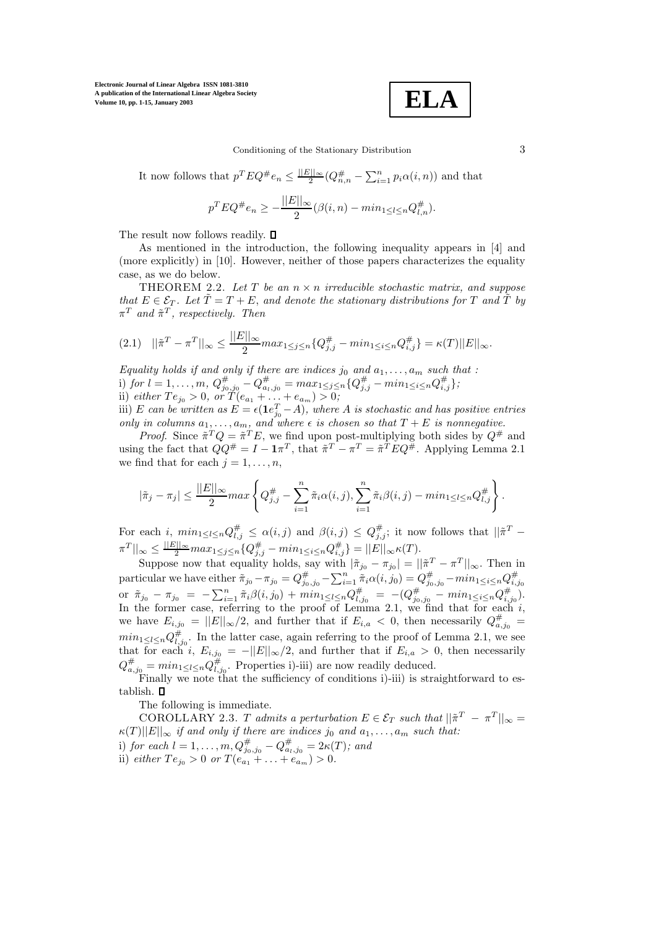**ELA**

Conditioning of the Stationary Distribution 3

It now follows that  $p^T E Q^{\#} e_n \leq \frac{||E||_{\infty}}{2} (Q^{\#}_{n,n} - \sum_{i=1}^n p_i \alpha(i,n))$  and that

$$
p^T E Q^{\#} e_n \ge -\frac{||E||_{\infty}}{2} (\beta(i, n) - \min_{1 \le l \le n} Q_{l, n}^{\#}).
$$

The result now follows readily.  $\Box$ 

As mentioned in the introduction, the following inequality appears in [4] and (more explicitly) in [10]. However, neither of those papers characterizes the equality case, as we do below.

THEOREM 2.2. Let  $T$  be an  $n \times n$  *irreducible stochastic matrix, and suppose that*  $E \in \mathcal{E}_T$ *. Let*  $\tilde{T} = T + E$ *, and denote the stationary distributions for* T *and*  $\tilde{T}$  *by*  $\pi^T$  and  $\tilde{\pi}^T$ , respectively. Then

$$
(2.1) \quad ||\tilde{\pi}^T - \pi^T||_{\infty} \le \frac{||E||_{\infty}}{2} max_{1 \le j \le n} \{Q_{j,j}^{\#} - min_{1 \le i \le n} Q_{i,j}^{\#}\} = \kappa(T)||E||_{\infty}.
$$

*Equality holds if and only if there are indices*  $j_0$  *and*  $a_1, \ldots, a_m$  *such that :* i) *for*  $l = 1, ..., m$ ,  $Q_{j_0,j_0}^{\#} - Q_{a_l,j_0}^{\#} = max_{1 \leq j \leq n} \{Q_{j,j}^{\#} - min_{1 \leq i \leq n} Q_{i,j}^{\#} \};$ ii) *either*  $Te_{j_0} > 0$ *, or*  $T(e_{a_1} + \ldots + e_{a_m}) > 0$ *;* 

iii) E can be written as  $E = \epsilon(\mathbf{1}e_{j_0}^T - A)$ , where A is stochastic and has positive entries *only in columns*  $a_1, \ldots, a_m$ *, and where*  $\epsilon$  *is chosen so that*  $T + E$  *is nonnegative.* 

*Proof.* Since  $\tilde{\pi}^T Q = \tilde{\pi}^T E$ , we find upon post-multiplying both sides by  $Q^{\#}$  and using the fact that  $QQ^{\#} = I - \mathbf{1}\pi^{T}$ , that  $\tilde{\pi}^{T} - \pi^{T} = \tilde{\pi}^{T}EQ^{\#}$ . Applying Lemma 2.1 we find that for each  $j = 1, \ldots, n$ ,

$$
|\tilde{\pi}_j - \pi_j| \le \frac{||E||_{\infty}}{2} max \left\{ Q_{j,j}^{\#} - \sum_{i=1}^n \tilde{\pi}_i \alpha(i,j), \sum_{i=1}^n \tilde{\pi}_i \beta(i,j) - min_{1 \le l \le n} Q_{l,j}^{\#} \right\}.
$$

For each i,  $min_{1 \leq l \leq n} Q_{l,j}^{\#} \leq \alpha(i,j)$  and  $\beta(i,j) \leq Q_{j,j}^{\#}$ ; it now follows that  $||\tilde{\pi}^T \pi^T||_{\infty} \leq \frac{||E||_{\infty}}{2} max_{1 \leq j \leq n} \{Q_{j,j}^{\#} - min_{1 \leq i \leq n} Q_{i,j}^{\#} \} = ||E||_{\infty} \kappa(T).$ 

Suppose now that equality holds, say with  $|\tilde{\pi}_{j_0} - \pi_{j_0}| = ||\tilde{\pi}_j^T - \pi^T||_{\infty}$ . Then in particular we have either  $\pi_{j_0} - \pi_{j_0} = Q_{j_0,j_0}^{\#} - \sum_{i=1}^n \tilde{\pi}_i \alpha(i,j_0) = Q_{j_0,j_0}^{\#} - \min_{1 \le i \le n} Q_{i,j_0}^{\#}$ <br>or  $\pi_{j_0} - \pi_{j_0} = -\sum_{i=1}^n \tilde{\pi}_i \beta(i,j_0) + \min_{1 \le i \le n} Q_{i,j_0}^{\#} = -(Q_{j_0,j_0}^{\#} - \min_{1 \le i \le n} Q_{i,j_0}^$ In the former case, referring to the proof of Lemma 2.1, we find that for each  $i$ , we have  $E_{i,j_0} = ||E||_{\infty}/2$ , and further that if  $E_{i,a} < 0$ , then necessarily  $Q_{a,j_0}^{\#} =$  $min_{1 \leq l \leq n} Q_{l,j_0}^{\#}$ . In the latter case, again referring to the proof of Lemma 2.1, we see that for each i,  $E_{i,j_0} = -||E||_{\infty}/2$ , and further that if  $E_{i,a} > 0$ , then necessarily  $Q_{a,j_0}^{\#} = min_{1 \leq l \leq n} Q_{l,j_0}^{\#}$ . Properties i)-iii) are now readily deduced.

Finally we note that the sufficiency of conditions i)-iii) is straightforward to establish. **O** 

The following is immediate.

COROLLARY 2.3. T *admits a perturbation*  $E \in \mathcal{E}_T$  *such that*  $||\tilde{\pi}^T - \pi^T||_{\infty} =$  $\kappa(T)||E||_{\infty}$  *if and only if there are indices jo and*  $a_1, \ldots, a_m$  *such that:* i) *for each*  $l = 1, ..., m, Q_{j_0,j_0}^{\#} - Q_{a_l,j_0}^{\#} = 2\kappa(T)$ *; and* ii) *either*  $Te_{j_0} > 0$  *or*  $T(e_{a_1} + \ldots + e_{a_m}) > 0$ *.*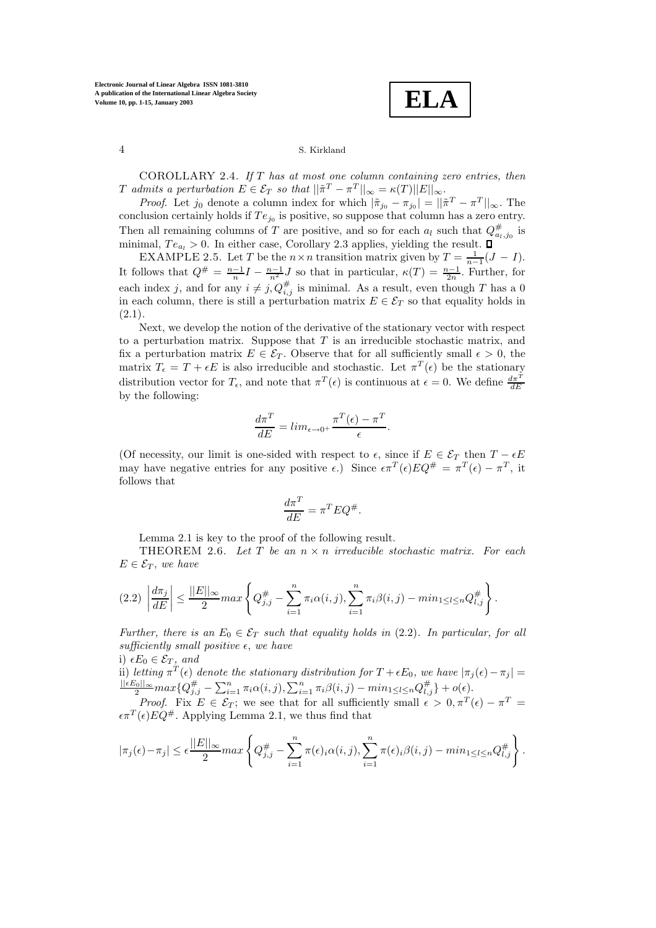**ELA**

COROLLARY 2.4. *If* T *has at most one column containing zero entries, then* T admits a perturbation  $E \in \mathcal{E}_T$  so that  $||\tilde{\pi}^T - \pi^T||_{\infty} = \kappa(T) ||E||_{\infty}$ .

*Proof.* Let  $j_0$  denote a column index for which  $|\tilde{\pi}_{j_0} - \pi_{j_0}| = ||\tilde{\pi}^T - \pi^T||_{\infty}$ . The conclusion certainly holds if  $Te_{j_0}$  is positive, so suppose that column has a zero entry. Then all remaining columns of T are positive, and so for each  $a_l$  such that  $Q_{a_l,j_0}^{\#}$  is minimal,  $Te_{a_l} > 0$ . In either case, Corollary 2.3 applies, yielding the result.  $\square$ 

EXAMPLE 2.5. Let T be the  $n \times n$  transition matrix given by  $T = \frac{1}{n-1}(J - I)$ . It follows that  $Q^{\#} = \frac{n-1}{n}I - \frac{n-1}{n^2}J$  so that in particular,  $\kappa(T) = \frac{n-1}{2n}$ . Further, for each index j, and for any  $i \neq j$ ,  $Q_{i,j}^{\#}$  is minimal. As a result, even though T has a 0 in each column, there is still a perturbation matrix  $E \in \mathcal{E}_T$  so that equality holds in (2.1)*.*

Next, we develop the notion of the derivative of the stationary vector with respect to a perturbation matrix. Suppose that  $T$  is an irreducible stochastic matrix, and fix a perturbation matrix  $E \in \mathcal{E}_T$ . Observe that for all sufficiently small  $\epsilon > 0$ , the matrix  $T_{\epsilon} = T + \epsilon E$  is also irreducible and stochastic. Let  $\pi^{T}(\epsilon)$  be the stationary distribution vector for  $T_{\epsilon}$ , and note that  $\pi^{T}(\epsilon)$  is continuous at  $\epsilon = 0$ . We define  $\frac{d\pi^{T}}{dE}$ by the following:

$$
\frac{d\pi^T}{dE} = \lim_{\epsilon \to 0^+} \frac{\pi^T(\epsilon) - \pi^T}{\epsilon}.
$$

(Of necessity, our limit is one-sided with respect to  $\epsilon$ , since if  $E \in \mathcal{E}_T$  then  $T - \epsilon E$ may have negative entries for any positive  $\epsilon$ .) Since  $\epsilon \pi^T(\epsilon)EQ^{\#} = \pi^T(\epsilon) - \pi^T$ , it follows that

$$
\frac{d\pi^T}{dE} = \pi^T E Q^{\#}.
$$

Lemma 2.1 is key to the proof of the following result.

THEOREM 2.6. *Let* T *be an* n × n *irreducible stochastic matrix. For each*  $E \in \mathcal{E}_T$ , we have

$$
(2.2) \left| \frac{d\pi_j}{dE} \right| \le \frac{||E||_{\infty}}{2} max \left\{ Q_{j,j}^{\#} - \sum_{i=1}^n \pi_i \alpha(i,j), \sum_{i=1}^n \pi_i \beta(i,j) - min_{1 \le l \le n} Q_{l,j}^{\#} \right\}.
$$

*Further, there is an*  $E_0 \in \mathcal{E}_T$  *such that equality holds in* (2.2)*. In particular, for all*  $sufficiently small positive  $\epsilon$ , we have$ 

i)  $\epsilon E_0 \in \mathcal{E}_T$ *, and* ii) *letting*  $\pi^T(\epsilon)$  *denote the stationary distribution for*  $T + \epsilon E_0$ *, we have*  $|\pi_j(\epsilon) - \pi_j|$  $\frac{||\epsilon E_0||_\infty}{2} max\{Q_{j,j}^{\#} - \sum_{i=1}^n \pi_i \alpha(i,j), \sum_{i=1}^n \pi_i \beta(i,j) - min_{1 \leq l \leq n} Q_{l,j}^{\#}\} + o(\epsilon).$ 

*Proof.* Fix  $E \in \mathcal{E}_T$ ; we see that for all sufficiently small  $\epsilon > 0, \pi^T(\epsilon) - \pi^T =$  $\epsilon \pi^T(\epsilon)E\dot{Q}^{\#}$ . Applying Lemma 2.1, we thus find that

$$
|\pi_j(\epsilon)-\pi_j|\leq \epsilon\frac{||E||_{\infty}}{2}max\left\{Q_{j,j}^{\#}-\sum_{i=1}^n\pi(\epsilon)_i\alpha(i,j),\sum_{i=1}^n\pi(\epsilon)_i\beta(i,j)-min_{1\leq l\leq n}Q_{l,j}^{\#}\right\}.
$$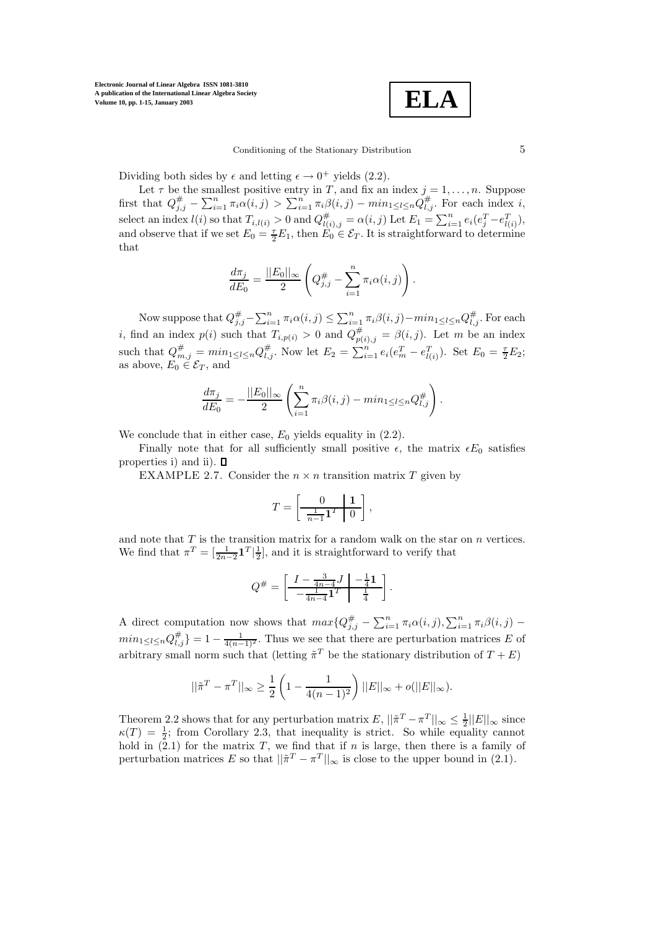

Dividing both sides by  $\epsilon$  and letting  $\epsilon \to 0^+$  yields (2.2).

Let  $\tau$  be the smallest positive entry in T, and fix an index  $j = 1, \ldots, n$ . Suppose first that  $Q_{j,j}^{\#} - \sum_{i=1}^n \pi_i \alpha(i,j) > \sum_{i=1}^n \pi_i \beta(i,j) - \min_{1 \leq l \leq n} Q_{l,j}^{\#}$ . For each index i, select an index  $l(i)$  so that  $T_{i,l(i)} > 0$  and  $Q_{l(i),j}^{\#} = \alpha(i,j)$  Let  $E_1 = \sum_{i=1}^{n} e_i(e_j^T - e_{l(i)}^T)$ , and observe that if we set  $E_0 = \frac{\tau}{2} E_1$ , then  $E_0 \in \mathcal{E}_T$ . It is straightforward to determine that

$$
\frac{d\pi_j}{dE_0} = \frac{||E_0||_{\infty}}{2} \left(Q_{j,j}^{\#} - \sum_{i=1}^n \pi_i \alpha(i,j)\right).
$$

Now suppose that  $Q_{j,j}^{\#} - \sum_{i=1}^n \pi_i \alpha(i,j) \leq \sum_{i=1}^n \pi_i \beta(i,j) - \min_{1 \leq l \leq n} Q_{l,j}^{\#}$ . For each *i*, find an index  $p(i)$  such that  $T_{i,p(i)} > 0$  and  $Q_{p(i),j}^{\#} = \beta(i,j)$ . Let m be an index such that  $Q_{m,j}^{\#} = min_{1 \leq l \leq n} Q_{l,j}^{\#}$ . Now let  $E_2 = \sum_{i=1}^{n} e_i (e_m^T - e_{l(i)}^T)$ . Set  $E_0 = \frac{\tau}{2} E_2$ ; as above,  $E_0 \in \mathcal{E}_T$ , and

$$
\frac{d\pi_j}{dE_0} = -\frac{||E_0||_{\infty}}{2} \left( \sum_{i=1}^n \pi_i \beta(i,j) - \min_{1 \leq l \leq n} Q_{l,j}^{\#} \right).
$$

We conclude that in either case,  $E_0$  yields equality in  $(2.2)$ .

Finally note that for all sufficiently small positive  $\epsilon$ , the matrix  $\epsilon E_0$  satisfies properties i) and ii).  $\square$ 

EXAMPLE 2.7. Consider the  $n \times n$  transition matrix T given by

$$
T = \left[\begin{array}{c|c} 0 & \mathbf{1} \\ \hline \frac{1}{n-1} \mathbf{1}^T & 0 \end{array}\right],
$$

and note that  $T$  is the transition matrix for a random walk on the star on  $n$  vertices. We find that  $\pi^T = \left[\frac{1}{2n-2}\mathbf{1}^T\right]\frac{1}{2}$ , and it is straightforward to verify that

$$
Q^{\#} = \left[ \begin{array}{c|c} I - \frac{3}{4n-4}J & -\frac{1}{4}\mathbf{1} \\ \hline -\frac{1}{4n-4}\mathbf{1}^T & \frac{1}{4} \end{array} \right].
$$

A direct computation now shows that  $max\{Q_{j,j}^{\#} - \sum_{i=1}^{n} \pi_i \alpha(i,j), \sum_{i=1}^{n} \pi_i \beta(i,j)$  $min_{1 \leq l \leq n} Q_{l,j}^{\#} = 1 - \frac{1}{4(n-1)^2}$ . Thus we see that there are perturbation matrices E of arbitrary small norm such that (letting  $\tilde{\pi}^T$  be the stationary distribution of  $T + E$ )

$$
||\tilde{\pi}^T - \pi^T||_{\infty} \ge \frac{1}{2} \left( 1 - \frac{1}{4(n-1)^2} \right) ||E||_{\infty} + o(||E||_{\infty}).
$$

Theorem 2.2 shows that for any perturbation matrix  $E$ ,  $||\tilde{\pi}^T - \pi^T||_{\infty} \le \frac{1}{2}||E||_{\infty}$  since  $\kappa(T) = \frac{1}{2}$ ; from Corollary 2.3, that inequality is strict. So while equality cannot hold in  $(2.1)$  for the matrix T, we find that if n is large, then there is a family of perturbation matrices E so that  $||\tilde{\pi}^T - \pi^T||_{\infty}$  is close to the upper bound in (2.1)*.*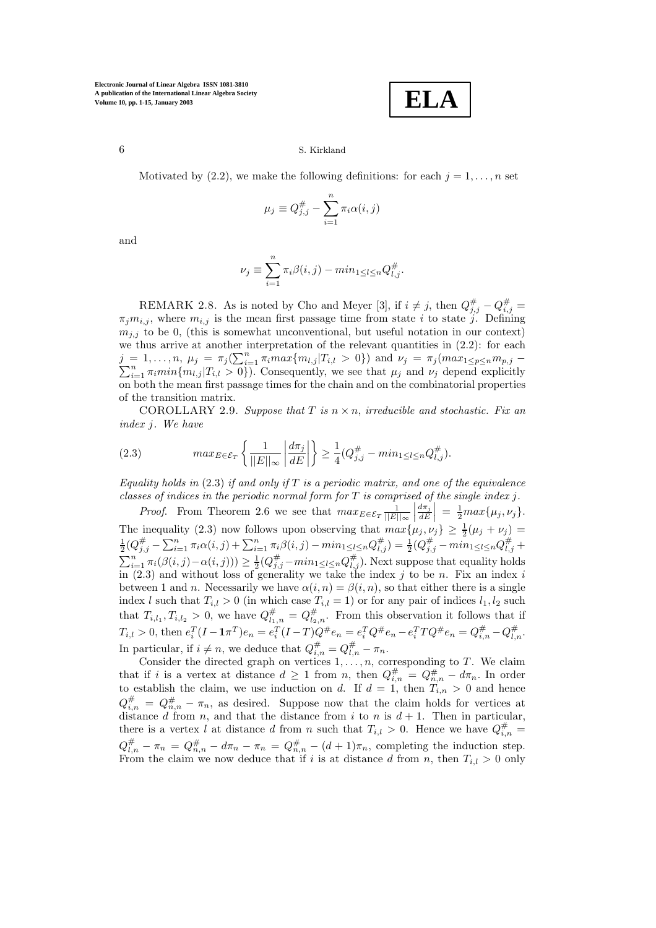**ELA**

Motivated by (2.2), we make the following definitions: for each  $j = 1, \ldots, n$  set

$$
\mu_j \equiv Q_{j,j}^{\#} - \sum_{i=1}^n \pi_i \alpha(i,j)
$$

and

$$
\nu_j \equiv \sum_{i=1}^n \pi_i \beta(i, j) - \min_{1 \le l \le n} Q_{l, j}^{\#}.
$$

REMARK 2.8. As is noted by Cho and Meyer [3], if  $i \neq j$ , then  $Q_{i,j}^{\#} - Q_{i,j}^{\#} =$  $\pi_j m_{i,j}$ , where  $m_{i,j}$  is the mean first passage time from state i to state j. Defining  $m_{i,j}$  to be 0, (this is somewhat unconventional, but useful notation in our context) we thus arrive at another interpretation of the relevant quantities in  $(2.2)$ : for each  $j = 1, \ldots, n, \mu_j = \pi_j(\sum_{i=1}^n$  $j = 1, \ldots, n, \mu_j = \pi_j(\sum_{i=1}^n \pi_i max\{m_{l,j}|T_{i,l} > 0\})$  and  $\nu_j = \pi_j (max_{1 \le p \le n} m_{p,j} - \sum_{i=1}^n \pi_i min\{m_{l,j}|T_{i,l} > 0\})$ . Consequently, we see that  $\mu_j$  and  $\nu_j$  depend explicitly on both the mean first passage times for the chain and on the combinatorial properties of the transition matrix.

COROLLARY 2.9. *Suppose that*  $T$  *is*  $n \times n$ *, irreducible and stochastic. Fix an index* j*. We have*

(2.3) 
$$
max_{E \in \mathcal{E}_T} \left\{ \frac{1}{||E||_{\infty}} \left| \frac{d\pi_j}{dE} \right| \right\} \ge \frac{1}{4} (Q_{j,j}^{\#} - \min_{1 \le l \le n} Q_{l,j}^{\#}).
$$

*Equality holds in* (2.3) *if and only if* T *is a periodic matrix, and one of the equivalence classes of indices in the periodic normal form for* T *is comprised of the single index* j*.*

*Proof.* From Theorem 2.6 we see that  $max_{E \in \mathcal{E}_T} \frac{1}{||E||_{\infty}}$  $\left|\frac{d\pi_j}{dE}\right| = \frac{1}{2} max{\mu_j, \nu_j}.$ The inequality (2.3) now follows upon observing that  $max\{\mu_j, \nu_j\} \geq \frac{1}{2}(\mu_j + \nu_j) = \frac{1}{2}(Q_{j,j}^{\#} - \sum_{i=1}^n \pi_i \alpha(i,j) + \sum_{i=1}^n \pi_i \beta(i,j) - min_{1 \leq l \leq n} Q_{l,j}^{\#}) = \frac{1}{2}(Q_{j,j}^{\#} - min_{1 \leq l \leq n} Q_{l,j}^{\#} +$  $\sum_{i=1}^{n} \pi_i(\beta(i,j) - \alpha(i,j))) \ge \frac{1}{2}(Q_{j,j}^{\#} - \min_{1 \le l \le n} Q_{l,j}^{\#})$ . Next suppose that equality holds in  $(2.3)$  and without loss of generality we take the index j to be n. Fix an index i between 1 and *n*. Necessarily we have  $\alpha(i, n) = \beta(i, n)$ , so that either there is a single index l such that  $T_{i,l} > 0$  (in which case  $T_{i,l} = 1$ ) or for any pair of indices  $l_1, l_2$  such that  $T_{i,l_1}, T_{i,l_2} > 0$ , we have  $Q_{l_1,n}^{\#} = Q_{l_2,n}^{\#}$ . From this observation it follows that if  $T_{i,l} > 0$ , then  $e_i^T (I - \mathbf{1} \pi^T) e_n = e_i^T (I - T) Q^{\#} e_n = e_i^T Q^{\#} e_n - e_i^T T Q^{\#} e_n = Q_{i,n}^{\#} - Q_{i,n}^{\#}$ . In particular, if  $i \neq n$ , we deduce that  $Q_{i,n}^{\#} = Q_{i,n}^{\#} - \pi_n$ .

Consider the directed graph on vertices  $1, \ldots, n$ , corresponding to T. We claim that if i is a vertex at distance  $d \geq 1$  from n, then  $Q_{i,n}^{\#} = Q_{n,n}^{\#} - d\pi_n$ . In order to establish the claim, we use induction on d. If  $d = 1$ , then  $T_{i,n} > 0$  and hence  $Q_{i,n}^{\#} = Q_{n,n}^{\#} - \pi_n$ , as desired. Suppose now that the claim holds for vertices at distance d from n, and that the distance from i to n is  $d + 1$ . Then in particular, there is a vertex l at distance d from n such that  $T_{i,l} > 0$ . Hence we have  $Q_{i,n}^{\#} =$  $Q_{l,n}^{\#} - \pi_n = Q_{n,n}^{\#} - d\pi_n - \pi_n = Q_{n,n}^{\#} - (d+1)\pi_n$ , completing the induction step. From the claim we now deduce that if i is at distance d from n, then  $T_{i,l} > 0$  only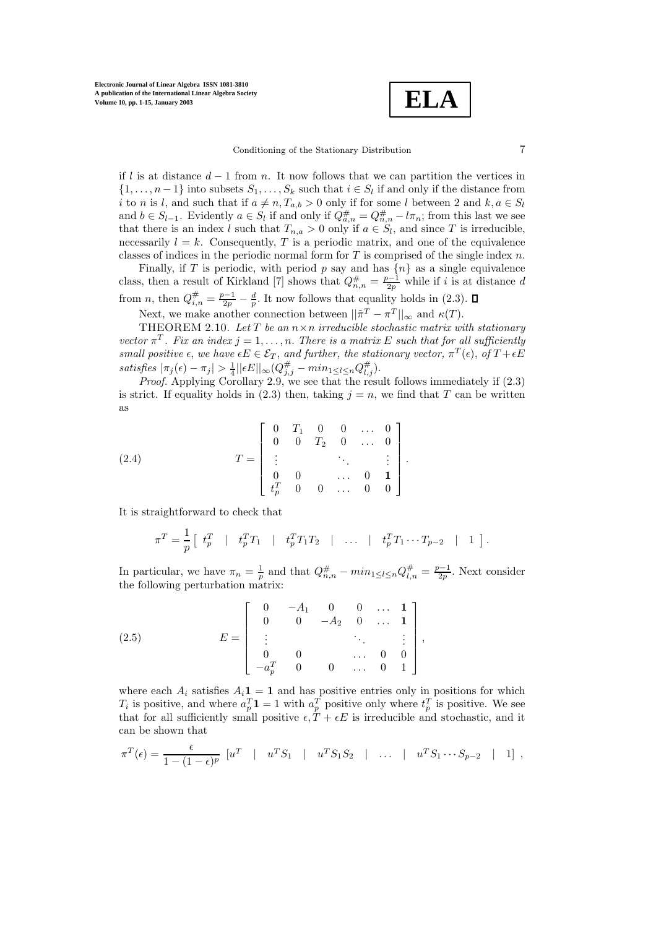**ELA**

#### Conditioning of the Stationary Distribution 7

if l is at distance  $d-1$  from n. It now follows that we can partition the vertices in  $\{1,\ldots,n-1\}$  into subsets  $S_1,\ldots,S_k$  such that  $i \in S_l$  if and only if the distance from i to n is l, and such that if  $a \neq n, T_{a,b} > 0$  only if for some l between 2 and  $k, a \in S_l$ and  $b \in S_{l-1}$ . Evidently  $a \in S_l$  if and only if  $Q_{a,n}^{\#} = Q_{n,n}^{\#} - l\pi_n$ ; from this last we see that there is an index l such that  $T_{n,a} > 0$  only if  $a \in S_l$ , and since T is irreducible, necessarily  $l = k$ . Consequently, T is a periodic matrix, and one of the equivalence classes of indices in the periodic normal form for  $T$  is comprised of the single index  $n$ .

Finally, if T is periodic, with period p say and has  $\{n\}$  as a single equivalence class, then a result of Kirkland [7] shows that  $Q_{n,n}^{\#} = \frac{p-1}{2p}$  while if i is at distance d from *n*, then  $Q_{i,n}^{\#} = \frac{p-1}{2p} - \frac{d}{p}$ . It now follows that equality holds in (2.3).

Next, we make another connection between  $||\tilde{\pi}^T - \pi^T||_{\infty}$  and  $\kappa(T)$ .

THEOREM 2.10. *Let* T *be an* n×n *irreducible stochastic matrix with stationary vector*  $\pi^T$ *. Fix an index*  $j = 1, ..., n$ *. There is a matrix* E *such that for all sufficiently small positive*  $\epsilon$ , *we have*  $\epsilon E \in \mathcal{E}_T$ , *and further, the stationary vector,*  $\pi^T(\epsilon)$ , *of*  $T + \epsilon E$ *satisfies*  $|\pi_j(\epsilon) - \pi_j| > \frac{1}{4} ||\epsilon E||_{\infty} (Q_{j,j}^{\#} - min_{1 \leq l \leq n} Q_{l,j}^{\#}).$ 

*Proof.* Applying Corollary 2.9, we see that the result follows immediately if  $(2.3)$ is strict. If equality holds in (2.3) then, taking  $j = n$ , we find that T can be written as

(2.4) 
$$
T = \begin{bmatrix} 0 & T_1 & 0 & 0 & \dots & 0 \\ 0 & 0 & T_2 & 0 & \dots & 0 \\ \vdots & & & \ddots & & \vdots \\ 0 & 0 & & \dots & 0 & 1 \\ t_p^T & 0 & 0 & \dots & 0 & 0 \end{bmatrix}.
$$

It is straightforward to check that

$$
\pi^T = \frac{1}{p} \left[ t_p^T \mid t_p^T T_1 \mid t_p^T T_1 T_2 \mid \ldots \mid t_p^T T_1 \cdots T_{p-2} \mid 1 \right].
$$

In particular, we have  $\pi_n = \frac{1}{p}$  and that  $Q_{n,n}^{\#} - min_{1 \le l \le n} Q_{l,n}^{\#} = \frac{p-1}{2p}$ . Next consider the following perturbation matrix:

(2.5) 
$$
E = \begin{bmatrix} 0 & -A_1 & 0 & 0 & \dots & 1 \\ 0 & 0 & -A_2 & 0 & \dots & 1 \\ \vdots & & & \ddots & & \vdots \\ 0 & 0 & & & \dots & 0 & 0 \\ -a_p^T & 0 & 0 & \dots & 0 & 1 \end{bmatrix},
$$

where each  $A_i$  satisfies  $A_i \mathbf{1} = \mathbf{1}$  and has positive entries only in positions for which  $T_i$  is positive, and where  $a_n^T \mathbf{1} = 1$  with  $a_n^T$  positive only where  $t_n^T$  is positive. We see that for all sufficiently small positive  $\epsilon, T + \epsilon E$  is irreducible and stochastic, and it can be shown that

$$
\pi^T(\epsilon) = \frac{\epsilon}{1 - (1 - \epsilon)^p} \begin{bmatrix} u^T & | & u^T S_1 & | & u^T S_1 S_2 & | & \dots & | & u^T S_1 \cdots S_{p-2} & | & 1 \end{bmatrix},
$$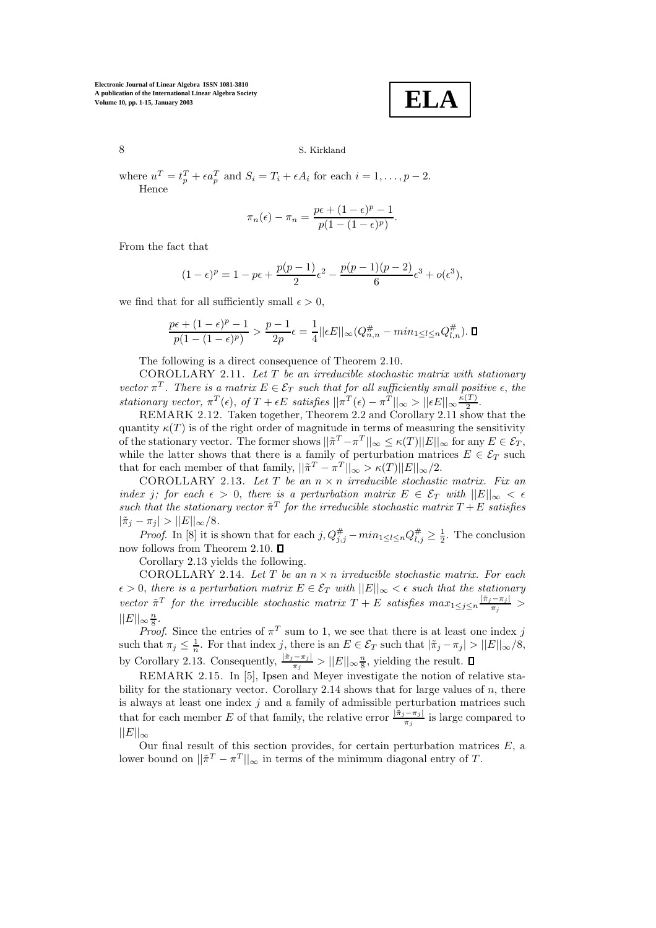**ELA**

# 8 S. Kirkland

where  $u^T = t_n^T + \epsilon a_n^T$  and  $S_i = T_i + \epsilon A_i$  for each  $i = 1, \ldots, p - 2$ . Hence

$$
\pi_n(\epsilon) - \pi_n = \frac{p\epsilon + (1 - \epsilon)^p - 1}{p(1 - (1 - \epsilon)^p)}.
$$

From the fact that

$$
(1 - \epsilon)^p = 1 - p\epsilon + \frac{p(p-1)}{2}\epsilon^2 - \frac{p(p-1)(p-2)}{6}\epsilon^3 + o(\epsilon^3),
$$

we find that for all sufficiently small  $\epsilon > 0$ ,

$$
\frac{p\epsilon+(1-\epsilon)^p-1}{p(1-(1-\epsilon)^p)}>\frac{p-1}{2p}\epsilon=\frac{1}{4}||\epsilon E||_\infty(Q_{n,n}^\#-min_{1\leq l\leq n}Q_{l,n}^\#).\ \blacksquare
$$

The following is a direct consequence of Theorem 2.10.

COROLLARY 2.11. *Let* T *be an irreducible stochastic matrix with stationary vector*  $\pi^T$ . There is a matrix  $E \in \mathcal{E}_T$  such that for all sufficiently small positive  $\epsilon$ , the *stationary vector,*  $\pi^T(\epsilon)$ , *of*  $T + \epsilon E$  *satisfies*  $||\pi^T(\epsilon) - \pi^T||_{\infty} > ||\epsilon E||_{\infty} \frac{\kappa(T)}{2}$ .

REMARK 2.12. Taken together, Theorem 2.2 and Corollary 2.11 show that the quantity  $\kappa(T)$  is of the right order of magnitude in terms of measuring the sensitivity of the stationary vector. The former shows  $||\tilde{\pi}^T - \pi^T||_{\infty} \leq \kappa(T) ||E||_{\infty}$  for any  $E \in \mathcal{E}_T$ , while the latter shows that there is a family of perturbation matrices  $E \in \mathcal{E}_T$  such that for each member of that family,  $||\tilde{\pi}^T - \pi^T||_{\infty} > \kappa(T) ||E||_{\infty}/2$ .

COROLLARY 2.13. *Let* T *be an* n × n *irreducible stochastic matrix. Fix an index j;* for each  $\epsilon > 0$ , there is a perturbation matrix  $E \in \mathcal{E}_T$  with  $||E||_{\infty} < \epsilon$ *such that the stationary vector*  $\tilde{\pi}^T$  *for the irreducible stochastic matrix*  $T + E$  *satisfies*  $|\tilde{\pi}_j - \pi_j| > ||E||_{\infty}/8.$ 

*Proof.* In [8] it is shown that for each  $j$ ,  $Q_{j,j}^{\#} - min_{1 \leq l \leq n} Q_{l,j}^{\#} \geq \frac{1}{2}$ . The conclusion now follows from Theorem 2.10.  $\Box$ 

Corollary 2.13 yields the following.

COROLLARY 2.14. *Let* T *be an* n × n *irreducible stochastic matrix. For each*  $\epsilon > 0$ , there is a perturbation matrix  $E \in \mathcal{E}_T$  with  $||E||_{\infty} < \epsilon$  such that the stationary *vector*  $\tilde{\pi}^T$  *for the irreducible stochastic matrix*  $T + E$  *satisfies*  $max_{1 \leq j \leq n} \frac{|\tilde{\pi}_j - \pi_j|}{\pi_j}$  >  $||E||_{\infty} \frac{n}{8}.$ 

*Proof.* Since the entries of  $\pi^T$  sum to 1, we see that there is at least one index j such that  $\pi_j \leq \frac{1}{n}$ . For that index j, there is an  $E \in \mathcal{E}_T$  such that  $|\tilde{\pi}_j - \pi_j| > ||E||_{\infty}/8$ , by Corollary 2.13. Consequently,  $\frac{|\tilde{\pi}_j - \pi_j|}{\pi_j} > ||E||_{\infty} \frac{n}{8}$ , yielding the result.

REMARK 2.15. In [5], Ipsen and Meyer investigate the notion of relative stability for the stationary vector. Corollary 2.14 shows that for large values of  $n$ , there is always at least one index  $j$  and a family of admissible perturbation matrices such that for each member E of that family, the relative error  $\frac{[\tilde{\pi}_j - \pi_j]}{\pi_j}$  is large compared to  $||E||_{\infty}$ 

Our final result of this section provides, for certain perturbation matrices  $E$ , a lower bound on  $||\tilde{\pi}^T - \pi^T||_{\infty}$  in terms of the minimum diagonal entry of T.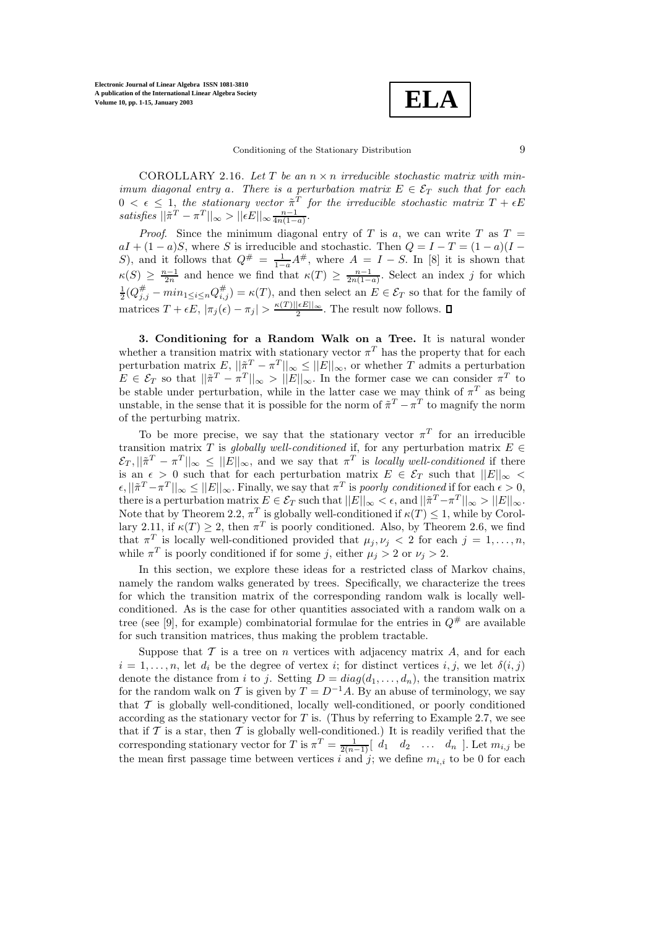

COROLLARY 2.16. Let  $T$  be an  $n \times n$  *irreducible stochastic matrix with minimum diagonal entry a. There is a perturbation matrix*  $E \in \mathcal{E}_T$  *such that for each*  $0 < \epsilon \leq 1$ , the stationary vector  $\tilde{\pi}^T$  for the irreducible stochastic matrix  $T + \epsilon E$  $satisfies$  $||\tilde{\pi}^T - \pi^T||_{\infty} > ||\epsilon E||_{\infty} \frac{n-1}{4n(1-a)}$ .

*Proof.* Since the minimum diagonal entry of T is a, we can write T as  $T =$  $aI + (1 - a)S$ , where S is irreducible and stochastic. Then  $Q = I - T = (1 - a)(I - a)S$ S), and it follows that  $Q^{\#} = \frac{1}{1-a}A^{\#}$ , where  $A = I - S$ . In [8] it is shown that  $\kappa(S) \geq \frac{n-1}{2n}$  and hence we find that  $\kappa(T) \geq \frac{n-1}{2n(1-a)}$ . Select an index j for which  $\frac{1}{2}(Q_{j,j}^{\#} - min_{1 \leq i \leq n} Q_{i,j}^{\#}) = \kappa(T)$ , and then select an  $E \in \mathcal{E}_T$  so that for the family of matrices  $T + \epsilon E$ ,  $|\pi_j(\epsilon) - \pi_j| > \frac{\kappa(T) ||\epsilon E||_{\infty}}{2}$ . The result now follows.

**3. Conditioning for a Random Walk on a Tree.** It is natural wonder whether a transition matrix with stationary vector  $\pi^T$  has the property that for each perturbation matrix  $E, ||\tilde{\pi}^T - \pi^T||_{\infty} \le ||E||_{\infty}$ , or whether T admits a perturbation  $E \in \mathcal{E}_T$  so that  $||\tilde{\pi}^T - \pi^T||_{\infty} > ||E||_{\infty}$ . In the former case we can consider  $\pi^T$  to be stable under perturbation, while in the latter case we may think of  $\pi^T$  as being unstable, in the sense that it is possible for the norm of  $\tilde{\pi}^T - \tilde{\pi}^T$  to magnify the norm of the perturbing matrix.

To be more precise, we say that the stationary vector  $\pi^T$  for an irreducible transition matrix T is *globally well-conditioned* if, for any perturbation matrix  $E \in$  $\mathcal{E}_T$ ,  $||\tilde{\pi}^T - \pi^T||_{\infty} \le ||E||_{\infty}$ , and we say that  $\pi^T$  is *locally well-conditioned* if there is an  $\epsilon > 0$  such that for each perturbation matrix  $E \in \mathcal{E}_T$  such that  $||E||_{\infty} <$  $\epsilon, ||\tilde{\pi}^T - \pi^T||_{\infty} \leq ||E||_{\infty}$ . Finally, we say that  $\pi^T$  is *poorly conditioned* if for each  $\epsilon > 0$ , there is a perturbation matrix  $E \in \mathcal{E}_T$  such that  $||E||_{\infty} < \epsilon$ , and  $||\tilde{\pi}^T - \pi^T||_{\infty} > ||E||_{\infty}$ . Note that by Theorem 2.2,  $\pi^T$  is globally well-conditioned if  $\kappa(T) \leq 1$ , while by Corollary 2.11, if  $\kappa(T) \geq 2$ , then  $\pi^{T}$  is poorly conditioned. Also, by Theorem 2.6, we find that  $\pi^T$  is locally well-conditioned provided that  $\mu_j, \nu_j < 2$  for each  $j = 1, \ldots, n$ , while  $\pi^T$  is poorly conditioned if for some j, either  $\mu_j > 2$  or  $\nu_j > 2$ .

In this section, we explore these ideas for a restricted class of Markov chains, namely the random walks generated by trees. Specifically, we characterize the trees for which the transition matrix of the corresponding random walk is locally wellconditioned. As is the case for other quantities associated with a random walk on a tree (see [9], for example) combinatorial formulae for the entries in  $Q^{\#}$  are available for such transition matrices, thus making the problem tractable.

Suppose that  $\mathcal T$  is a tree on  $n$  vertices with adjacency matrix  $A$ , and for each  $i = 1, \ldots, n$ , let  $d_i$  be the degree of vertex i; for distinct vertices i, j, we let  $\delta(i, j)$ denote the distance from i to j. Setting  $D = diag(d_1, \ldots, d_n)$ , the transition matrix for the random walk on T is given by  $T = D^{-1}A$ . By an abuse of terminology, we say that  $\mathcal T$  is globally well-conditioned, locally well-conditioned, or poorly conditioned according as the stationary vector for  $T$  is. (Thus by referring to Example 2.7, we see that if  $\mathcal T$  is a star, then  $\mathcal T$  is globally well-conditioned.) It is readily verified that the corresponding stationary vector for T is  $\pi^T = \frac{1}{2(n-1)} \begin{bmatrix} d_1 & d_2 & \dots & d_n \end{bmatrix}$ . Let  $m_{i,j}$  be the mean first passage time between vertices i and j; we define  $m_{i,i}$  to be 0 for each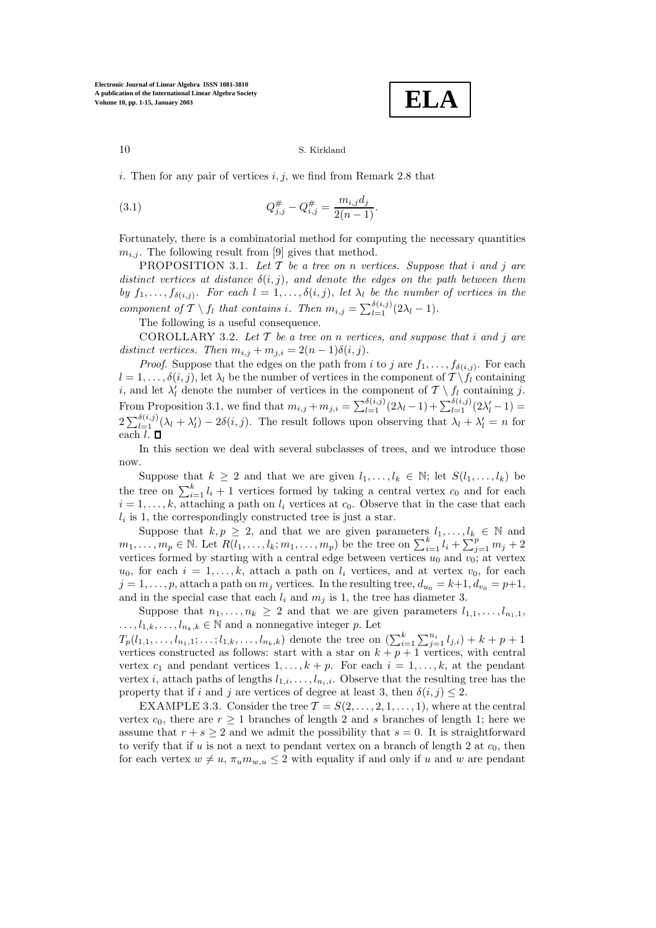$$
\boxed{\textbf{ELA}}
$$

i. Then for any pair of vertices  $i, j$ , we find from Remark 2.8 that

(3.1) 
$$
Q_{j,j}^{\#} - Q_{i,j}^{\#} = \frac{m_{i,j}d_j}{2(n-1)}.
$$

Fortunately, there is a combinatorial method for computing the necessary quantities  $m_{i,j}$ . The following result from [9] gives that method.

PROPOSITION 3.1. *Let* T *be a tree on* n *vertices. Suppose that* i *and* j *are distinct vertices at distance*  $\delta(i, j)$ *, and denote the edges on the path between them by*  $f_1, \ldots, f_{\delta(i,j)}$ *. For each*  $l = 1, \ldots, \delta(i,j)$ *, let*  $\lambda_l$  *be the number of vertices in the component of*  $\mathcal{T} \setminus f_l$  *that contains i. Then*  $m_{i,j} = \sum_{l=1}^{\delta(i,j)} (2\lambda_l - 1)$ *.* 

The following is a useful consequence.

COROLLARY 3.2. *Let* T *be a tree on* n *vertices, and suppose that* i *and* j *are* distinct vertices. Then  $m_{i,j} + m_{j,i} = 2(n-1)\delta(i,j)$ .

*Proof.* Suppose that the edges on the path from i to j are  $f_1, \ldots, f_{\delta(i,j)}$ . For each  $l = 1, \ldots, \delta(i, j)$ , let  $\lambda_l$  be the number of vertices in the component of  $\mathcal{T} \setminus f_l$  containing i, and let  $\lambda'_l$  denote the number of vertices in the component of  $\mathcal{T} \setminus f_l$  containing j. From Proposition 3.1, we find that  $m_{i,j} + m_{j,i} = \sum_{l=1}^{\delta(i,j)} (2\lambda_l - 1) + \sum_{l=1}^{\delta(i,j)} (2\lambda'_l - 1) =$  $2\sum_{l=1}^{\delta(i,j)}(\lambda_l + \lambda'_l) - 2\delta(i,j)$ . The result follows upon observing that  $\lambda_l + \lambda'_l = n$  for each  $l. \Box$ 

In this section we deal with several subclasses of trees, and we introduce those now.

Suppose that  $k \geq 2$  and that we are given  $l_1, \ldots, l_k \in \mathbb{N}$ ; let  $S(l_1, \ldots, l_k)$  be the tree on  $\sum_{i=1}^{k} l_i + 1$  vertices formed by taking a central vertex  $c_0$  and for each  $i = 1, \ldots, k$ , attaching a path on  $l_i$  vertices at  $c_0$ . Observe that in the case that each  $l_i$  is 1, the correspondingly constructed tree is just a star.

Suppose that  $k, p \geq 2$ , and that we are given parameters  $l_1, \ldots, l_k \in \mathbb{N}$  and  $m_1,\ldots,m_p\in\mathbb{N}$ . Let  $R(l_1,\ldots,l_k;m_1,\ldots,m_p)$  be the tree on  $\sum_{i=1}^kl_i+\sum_{j=1}^pp_j+2$ vertices formed by starting with a central edge between vertices  $u_0$  and  $v_0$ ; at vertex  $u_0$ , for each  $i = 1, \ldots, k$ , attach a path on  $l_i$  vertices, and at vertex  $v_0$ , for each  $j = 1, \ldots, p$ , attach a path on  $m_j$  vertices. In the resulting tree,  $d_{u_0} = k+1, d_{v_0} = p+1$ , and in the special case that each  $l_i$  and  $m_j$  is 1, the tree has diameter 3.

Suppose that  $n_1,\ldots,n_k \geq 2$  and that we are given parameters  $l_{1,1},\ldots,l_{n_1,1}$ ,  $\dots, l_{1,k},\dots,l_{n_k,k} \in \mathbb{N}$  and a nonnegative integer p. Let

 $T_p(l_{1,1},\ldots,l_{n_1,1};\ldots;l_{1,k},\ldots,l_{n_k,k})$  denote the tree on  $(\sum_{i=1}^k\sum_{j=1}^{n_i}l_{j,i}) + k + p + 1$ vertices constructed as follows: start with a star on  $k + p + 1$  vertices, with central vertex  $c_1$  and pendant vertices  $1, \ldots, k + p$ . For each  $i = 1, \ldots, k$ , at the pendant vertex i, attach paths of lengths  $l_{1,i},\ldots,l_{n_i,i}$ . Observe that the resulting tree has the property that if i and j are vertices of degree at least 3, then  $\delta(i, j) \leq 2$ .

EXAMPLE 3.3. Consider the tree  $\mathcal{T} = S(2,\ldots,2,1,\ldots,1)$ , where at the central vertex  $c_0$ , there are  $r \geq 1$  branches of length 2 and s branches of length 1; here we assume that  $r + s \geq 2$  and we admit the possibility that  $s = 0$ . It is straightforward to verify that if u is not a next to pendant vertex on a branch of length 2 at  $c_0$ , then for each vertex  $w \neq u$ ,  $\pi_u m_{w,u} \leq 2$  with equality if and only if u and w are pendant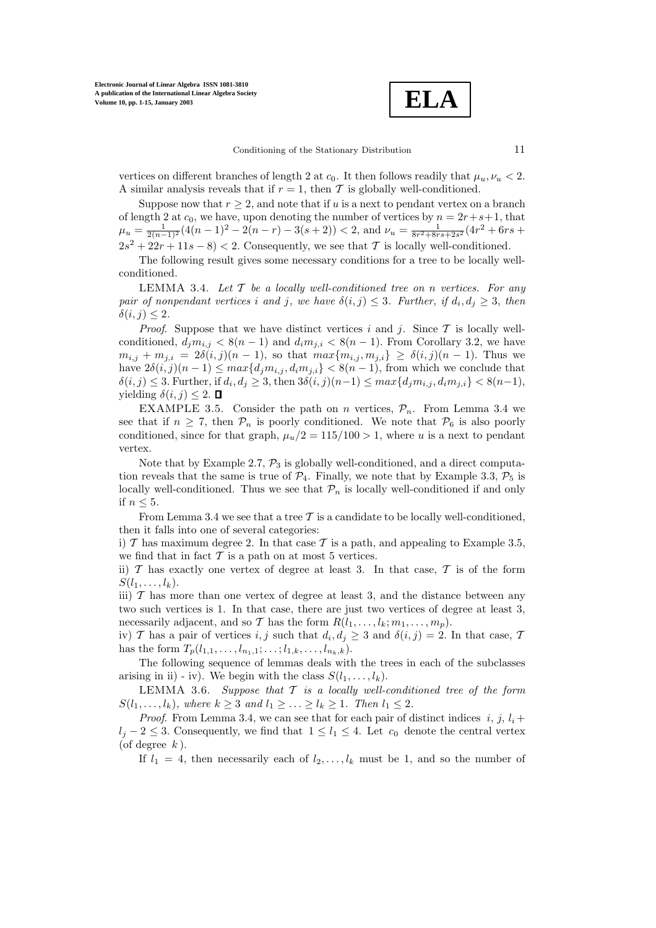**ELA**

vertices on different branches of length 2 at  $c_0$ . It then follows readily that  $\mu_u, \nu_u < 2$ . A similar analysis reveals that if  $r = 1$ , then T is globally well-conditioned.

Suppose now that  $r \geq 2$ , and note that if u is a next to pendant vertex on a branch of length 2 at  $c_0$ , we have, upon denoting the number of vertices by  $n = 2r+s+1$ , that  $\mu_u = \frac{1}{2(n-1)^2} (4(n-1)^2 - 2(n-r) - 3(s+2)) < 2$ , and  $\nu_u = \frac{1}{8r^2 + 8rs + 2s^2} (4r^2 + 6rs +$  $2s^2 + 22r + 11s - 8 < 2$ . Consequently, we see that T is locally well-conditioned.

The following result gives some necessary conditions for a tree to be locally wellconditioned.

LEMMA 3.4. *Let* T *be a locally well-conditioned tree on* n *vertices. For any pair of nonpendant vertices i* and *j*, we have  $\delta(i, j) \leq 3$ . Further, if  $d_i, d_j \geq 3$ , then  $\delta(i, j) \leq 2$ .

*Proof.* Suppose that we have distinct vertices i and j. Since  $\mathcal T$  is locally wellconditioned,  $d_i m_{i,j} < 8(n-1)$  and  $d_i m_{j,i} < 8(n-1)$ . From Corollary 3.2, we have  $m_{i,j} + m_{j,i} = 2\delta(i,j)(n-1)$ , so that  $max\{m_{i,j}, m_{j,i}\} \geq \delta(i,j)(n-1)$ . Thus we have  $2\delta(i, j)(n - 1) \leq max\{d_j m_{i,j}, d_i m_{j,i}\} < 8(n - 1)$ , from which we conclude that  $\delta(i, j) \leq 3$ . Further, if  $d_i, d_j \geq 3$ , then  $3\delta(i, j)(n-1) \leq max\{d_j m_{i,j}, d_i m_{j,i}\} < 8(n-1)$ , yielding  $\delta(i, j) \leq 2$ .  $\Box$ 

EXAMPLE 3.5. Consider the path on n vertices,  $P_n$ . From Lemma 3.4 we see that if  $n \geq 7$ , then  $\mathcal{P}_n$  is poorly conditioned. We note that  $\mathcal{P}_6$  is also poorly conditioned, since for that graph,  $\mu_u/2 = 115/100 > 1$ , where u is a next to pendant vertex.

Note that by Example 2.7,  $\mathcal{P}_3$  is globally well-conditioned, and a direct computation reveals that the same is true of  $\mathcal{P}_4$ . Finally, we note that by Example 3.3,  $\mathcal{P}_5$  is locally well-conditioned. Thus we see that  $\mathcal{P}_n$  is locally well-conditioned if and only if  $n \leq 5$ .

From Lemma 3.4 we see that a tree  $\mathcal T$  is a candidate to be locally well-conditioned, then it falls into one of several categories:

i)  $\mathcal T$  has maximum degree 2. In that case  $\mathcal T$  is a path, and appealing to Example 3.5, we find that in fact  $\mathcal T$  is a path on at most 5 vertices.

ii)  $T$  has exactly one vertex of degree at least 3. In that case,  $T$  is of the form  $S(l_1,\ldots,l_k).$ 

iii)  $T$  has more than one vertex of degree at least 3, and the distance between any two such vertices is 1. In that case, there are just two vertices of degree at least 3, necessarily adjacent, and so T has the form  $R(l_1, \ldots, l_k; m_1, \ldots, m_p)$ .

iv) T has a pair of vertices i, j such that  $d_i, d_j \geq 3$  and  $\delta(i, j) = 2$ . In that case, T has the form  $T_p(l_{1,1},\ldots,l_{n_1,1};\ldots;l_{1,k},\ldots,l_{n_k,k}).$ 

The following sequence of lemmas deals with the trees in each of the subclasses arising in ii) - iv). We begin with the class  $S(l_1,\ldots,l_k)$ .

LEMMA 3.6. *Suppose that* T *is a locally well-conditioned tree of the form*  $S(l_1,...,l_k)$ *, where*  $k \geq 3$  *and*  $l_1 \geq ... \geq l_k \geq 1$ *. Then*  $l_1 \leq 2$ *.* 

*Proof.* From Lemma 3.4, we can see that for each pair of distinct indices  $i, j, l_i +$  $l_i - 2 \leq 3$ . Consequently, we find that  $1 \leq l_1 \leq 4$ . Let  $c_0$  denote the central vertex (of degree  $k$ ).

If  $l_1 = 4$ , then necessarily each of  $l_2, \ldots, l_k$  must be 1, and so the number of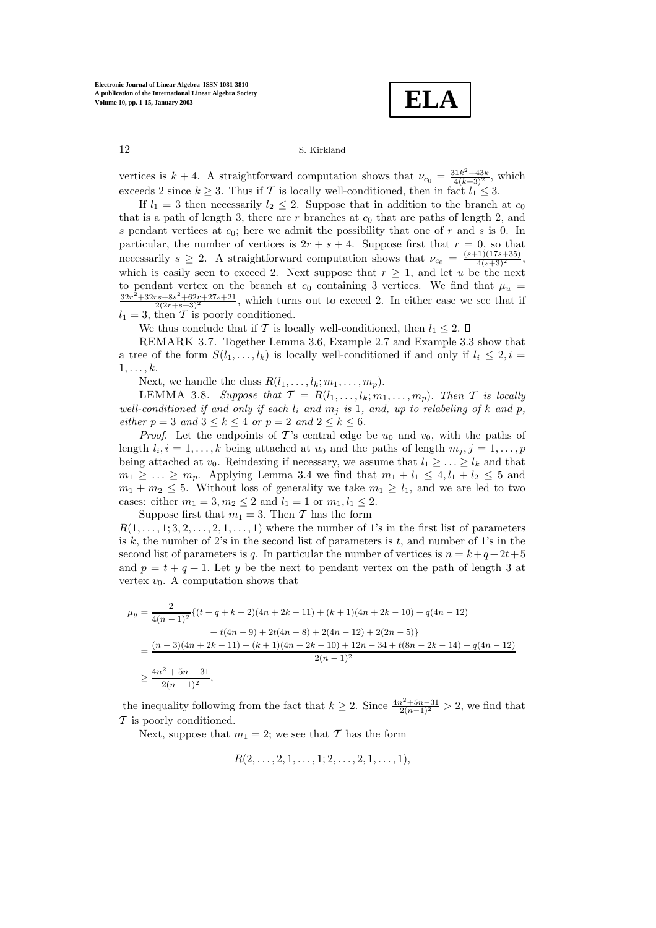**ELA**

vertices is  $k + 4$ . A straightforward computation shows that  $\nu_{c_0} = \frac{31k^2 + 43k}{4(k+3)^2}$ , which exceeds 2 since  $k > 3$ . Thus if T is locally well-conditioned, then in fact  $l_1 < 3$ .

If  $l_1 = 3$  then necessarily  $l_2 \leq 2$ . Suppose that in addition to the branch at  $c_0$ that is a path of length 3, there are r branches at  $c_0$  that are paths of length 2, and s pendant vertices at  $c_0$ ; here we admit the possibility that one of r and s is 0. In particular, the number of vertices is  $2r + s + 4$ . Suppose first that  $r = 0$ , so that necessarily  $s \geq 2$ . A straightforward computation shows that  $\nu_{c_0} = \frac{(s+1)(17s+35)}{4(s+3)^2}$ , which is easily seen to exceed 2. Next suppose that  $r \geq 1$ , and let u be the next to pendant vertex on the branch at  $c_0$  containing 3 vertices. We find that  $\mu_u$  =  $\frac{32r^2+32rs+8s^2+62r+27s+21}{2(2r+s+3)^2}$ , which turns out to exceed 2. In either case we see that if  $l_1 = 3$ , then T is poorly conditioned.

We thus conclude that if T is locally well-conditioned, then  $l_1 \leq 2$ .  $\Box$ 

REMARK 3.7. Together Lemma 3.6, Example 2.7 and Example 3.3 show that a tree of the form  $S(l_1,\ldots,l_k)$  is locally well-conditioned if and only if  $l_i \leq 2, i =$  $1,\ldots, k$ .

Next, we handle the class  $R(l_1,\ldots,l_k;m_1,\ldots,m_p)$ .

LEMMA 3.8. *Suppose that*  $\mathcal{T} = R(l_1, \ldots, l_k; m_1, \ldots, m_p)$ . *Then*  $\mathcal{T}$  *is locally well-conditioned if and only if each*  $l_i$  *and*  $m_j$  *is* 1*, and, up to relabeling of*  $k$  *and*  $p$ *, either*  $p = 3$  *and*  $3 \le k \le 4$  *or*  $p = 2$  *and*  $2 \le k \le 6$ *.* 

*Proof.* Let the endpoints of T's central edge be  $u_0$  and  $v_0$ , with the paths of length  $l_i, i = 1, \ldots, k$  being attached at  $u_0$  and the paths of length  $m_j, j = 1, \ldots, p$ being attached at  $v_0$ . Reindexing if necessary, we assume that  $l_1 \geq \ldots \geq l_k$  and that  $m_1 \geq \ldots \geq m_p$ . Applying Lemma 3.4 we find that  $m_1 + l_1 \leq 4, l_1 + l_2 \leq 5$  and  $m_1 + m_2 \leq 5$ . Without loss of generality we take  $m_1 \geq l_1$ , and we are led to two cases: either  $m_1 = 3, m_2 \le 2$  and  $l_1 = 1$  or  $m_1, l_1 \le 2$ .

Suppose first that  $m_1 = 3$ . Then T has the form  $R(1,\ldots,1;3,2,\ldots,2,1,\ldots,1)$  where the number of 1's in the first list of parameters is k, the number of 2's in the second list of parameters is t, and number of 1's in the second list of parameters is q. In particular the number of vertices is  $n = k+q+2t+5$ and  $p = t + q + 1$ . Let y be the next to pendant vertex on the path of length 3 at vertex  $v_0$ . A computation shows that

$$
\mu_y = \frac{2}{4(n-1)^2} \{ (t+q+k+2)(4n+2k-11) + (k+1)(4n+2k-10) + q(4n-12) + t(4n-9) + 2t(4n-8) + 2(4n-12) + 2(2n-5) \}
$$
  
= 
$$
\frac{(n-3)(4n+2k-11) + (k+1)(4n+2k-10) + 12n - 34 + t(8n-2k-14) + q(4n-12)}{2(n-1)^2}
$$
  

$$
\geq \frac{4n^2 + 5n - 31}{2(n-1)^2},
$$

the inequality following from the fact that  $k \geq 2$ . Since  $\frac{4n^2+5n-31}{2(n-1)^2} > 2$ , we find that  $\mathcal T$  is poorly conditioned.

Next, suppose that  $m_1 = 2$ ; we see that T has the form

$$
R(2, \ldots, 2, 1, \ldots, 1; 2, \ldots, 2, 1, \ldots, 1),
$$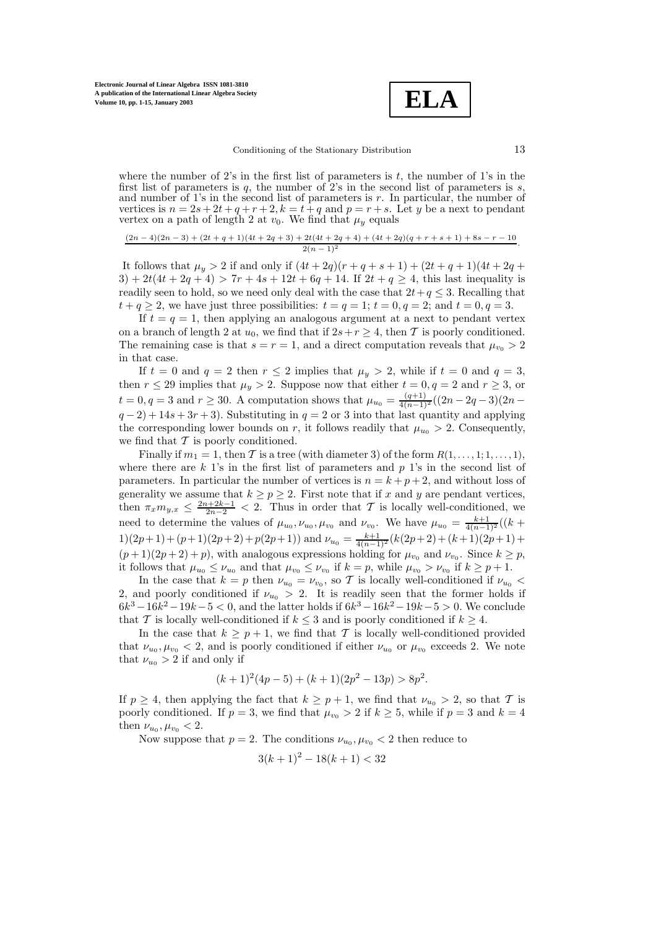

where the number of  $2$ 's in the first list of parameters is  $t$ , the number of  $1$ 's in the first list of parameters is q, the number of 2's in the second list of parameters is  $s$ , and number of 1's in the second list of parameters is  $r$ . In particular, the number of vertices is  $n = 2s + 2t + q + r + 2$ ,  $k = t + q$  and  $p = r + s$ . Let y be a next to pendant vertex on a path of length 2 at  $v_0$ . We find that  $\mu_y$  equals

$$
\frac{(2n-4)(2n-3)+(2t+q+1)(4t+2q+3)+2t(4t+2q+4)+(4t+2q)(q+r+s+1)+8s-r-10}{2(n-1)^2}.
$$

It follows that  $\mu_y > 2$  if and only if  $(4t + 2q)(r + q + s + 1) + (2t + q + 1)(4t + 2q +$ 3) + 2t(4t + 2q + 4) > 7r + 4s + 12t + 6q + 14. If  $2t + q \ge 4$ , this last inequality is readily seen to hold, so we need only deal with the case that  $2t+q \leq 3$ . Recalling that  $t + q \geq 2$ , we have just three possibilities:  $t = q = 1$ ;  $t = 0, q = 2$ ; and  $t = 0, q = 3$ .

If  $t = q = 1$ , then applying an analogous argument at a next to pendant vertex on a branch of length 2 at  $u_0$ , we find that if  $2s+r \geq 4$ , then T is poorly conditioned. The remaining case is that  $s = r = 1$ , and a direct computation reveals that  $\mu_{v_0} > 2$ in that case.

If  $t = 0$  and  $q = 2$  then  $r \le 2$  implies that  $\mu_y > 2$ , while if  $t = 0$  and  $q = 3$ , then  $r \le 29$  implies that  $\mu_y > 2$ . Suppose now that either  $t = 0, q = 2$  and  $r \ge 3$ , or  $t = 0, q = 3$  and  $r \ge 30$ . A computation shows that  $\mu_{u_0} = \frac{(q+1)}{4(n-1)^2}((2n-2q-3)(2n$  $q-2$ ) + 14s + 3r + 3). Substituting in  $q=2$  or 3 into that last quantity and applying the corresponding lower bounds on r, it follows readily that  $\mu_{u_0} > 2$ . Consequently, we find that  $\mathcal T$  is poorly conditioned.

Finally if  $m_1 = 1$ , then T is a tree (with diameter 3) of the form  $R(1, \ldots, 1; 1, \ldots, 1)$ , where there are  $k$  1's in the first list of parameters and  $p$  1's in the second list of parameters. In particular the number of vertices is  $n = k + p + 2$ , and without loss of generality we assume that  $k \ge p \ge 2$ . First note that if x and y are pendant vertices, then  $\pi_x m_{y,x} \leq \frac{2n+2k-1}{2n-2} < 2$ . Thus in order that T is locally well-conditioned, we need to determine the values of  $\mu_{u_0}, \nu_{u_0}, \mu_{v_0}$  and  $\nu_{v_0}$ . We have  $\mu_{u_0} = \frac{k+1}{4(n-1)^2}((k+1)\mu_{u_0})(k+1)\mu_{v_0}$  $1)(2p+1)+(p+1)(2p+2)+p(2p+1))$  and  $\nu_{u_0} = \frac{k+1}{4(n-1)^2}(k(2p+2)+(k+1)(2p+1)+$  $(p+1)(2p+2)+p$ , with analogous expressions holding for  $\mu_{v_0}$  and  $\nu_{v_0}$ . Since  $k \geq p$ , it follows that  $\mu_{u_0} \leq \nu_{u_0}$  and that  $\mu_{v_0} \leq \nu_{v_0}$  if  $k = p$ , while  $\mu_{v_0} > \nu_{v_0}$  if  $k \geq p+1$ .

In the case that  $k = p$  then  $\nu_{u_0} = \nu_{v_0}$ , so T is locally well-conditioned if  $\nu_{u_0}$  < 2, and poorly conditioned if  $\nu_{u_0} > 2$ . It is readily seen that the former holds if  $6k^3 - 16k^2 - 19k - 5 < 0$ , and the latter holds if  $6k^3 - 16k^2 - 19k - 5 > 0$ . We conclude that T is locally well-conditioned if  $k \leq 3$  and is poorly conditioned if  $k \geq 4$ .

In the case that  $k \geq p+1$ , we find that T is locally well-conditioned provided that  $\nu_{u_0}, \mu_{v_0} < 2$ , and is poorly conditioned if either  $\nu_{u_0}$  or  $\mu_{v_0}$  exceeds 2. We note that  $\nu_{u_0} > 2$  if and only if

$$
(k+1)^{2}(4p-5) + (k+1)(2p^{2} - 13p) > 8p^{2}.
$$

If  $p \geq 4$ , then applying the fact that  $k \geq p+1$ , we find that  $\nu_{u_0} > 2$ , so that T is poorly conditioned. If  $p = 3$ , we find that  $\mu_{v_0} > 2$  if  $k \ge 5$ , while if  $p = 3$  and  $k = 4$ then  $\nu_{u_0}, \mu_{v_0} < 2$ .

Now suppose that  $p = 2$ . The conditions  $\nu_{u_0}, \mu_{v_0} < 2$  then reduce to

$$
3(k+1)^2 - 18(k+1) < 32
$$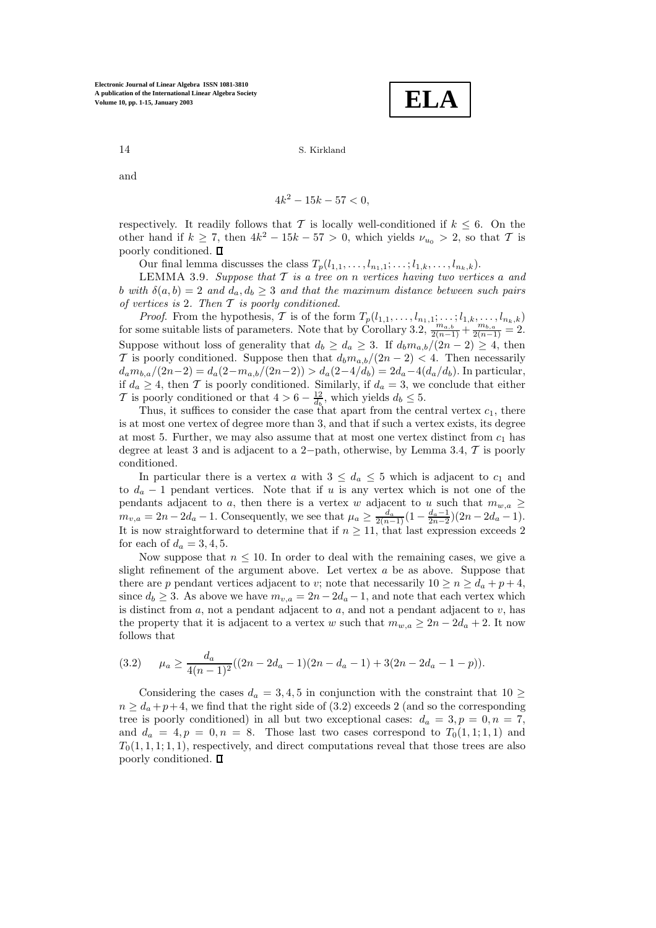$$
\boxed{\textbf{ELA}}
$$

and

$$
4k^2 - 15k - 57 < 0
$$

respectively. It readily follows that T is locally well-conditioned if  $k \leq 6$ . On the other hand if  $k \ge 7$ , then  $4k^2 - 15k - 57 > 0$ , which yields  $\nu_{u_0} > 2$ , so that T is poorly conditioned.  $\square$ 

Our final lemma discusses the class  $T_p(l_{1,1},\ldots,l_{n_1,1};\ldots; l_{1,k},\ldots,l_{n_k,k}).$ 

LEMMA 3.9. *Suppose that* T *is a tree on* n *vertices having two vertices* a *and* b with  $\delta(a, b) = 2$  *and*  $d_a, d_b \geq 3$  *and that the maximum distance between such pairs of vertices is* 2*. Then* T *is poorly conditioned.*

*Proof.* From the hypothesis, T is of the form  $T_p(l_{1,1},\ldots,l_{n_1,1};\ldots; l_{1,k},\ldots,l_{n_k,k})$  for some suitable lists of parameters. Note that by Corollary 3.2,  $\frac{m_{a,b}}{2(n-1)} + \frac{m_{b,a}}{2(n-1)} = 2$ . Suppose without loss of generality that  $d_b \geq d_a \geq 3$ . If  $d_b m_{a,b}/(2n-2) \geq 4$ , then T is poorly conditioned. Suppose then that  $d_b m_{a,b}/(2n-2) < 4$ . Then necessarily  $d_a m_{b,a}/(2n-2) = d_a(2-m_{a,b}/(2n-2)) > d_a(2-4/d_b) = 2d_a-4(d_a/d_b)$ . In particular, if  $d_a \geq 4$ , then T is poorly conditioned. Similarly, if  $d_a = 3$ , we conclude that either T is poorly conditioned or that  $4 > 6 - \frac{12}{d_b}$ , which yields  $d_b \leq 5$ .

Thus, it suffices to consider the case that apart from the central vertex  $c_1$ , there is at most one vertex of degree more than 3, and that if such a vertex exists, its degree at most 5. Further, we may also assume that at most one vertex distinct from  $c_1$  has degree at least 3 and is adjacent to a 2−path, otherwise, by Lemma 3.4, T is poorly conditioned.

In particular there is a vertex a with  $3 \leq d_a \leq 5$  which is adjacent to  $c_1$  and to  $d_a - 1$  pendant vertices. Note that if u is any vertex which is not one of the pendants adjacent to a, then there is a vertex w adjacent to u such that  $m_{w,a} \geq$  $m_{v,a} = 2n - 2d_a - 1$ . Consequently, we see that  $\mu_a \geq \frac{d_a}{2(n-1)} \left(1 - \frac{d_a - 1}{2n-2}\right) \left(2n - 2d_a - 1\right)$ . It is now straightforward to determine that if  $n \geq 11$ , that last expression exceeds 2 for each of  $d_a = 3, 4, 5$ .

Now suppose that  $n \leq 10$ . In order to deal with the remaining cases, we give a slight refinement of the argument above. Let vertex a be as above. Suppose that there are p pendant vertices adjacent to v; note that necessarily  $10 \ge n \ge d_a + p + 4$ , since  $d_b \geq 3$ . As above we have  $m_{v,a} = 2n - 2d_a - 1$ , and note that each vertex which is distinct from  $a$ , not a pendant adjacent to  $a$ , and not a pendant adjacent to  $v$ , has the property that it is adjacent to a vertex w such that  $m_{w,a} \geq 2n - 2d_a + 2$ . It now follows that

$$
(3.2) \qquad \mu_a \ge \frac{d_a}{4(n-1)^2}((2n-2d_a-1)(2n-d_a-1)+3(2n-2d_a-1-p)).
$$

Considering the cases  $d_a = 3, 4, 5$  in conjunction with the constraint that  $10 \geq$  $n \geq d_a + p + 4$ , we find that the right side of (3.2) exceeds 2 (and so the corresponding tree is poorly conditioned) in all but two exceptional cases:  $d_a = 3, p = 0, n = 7$ , and  $d_a = 4, p = 0, n = 8$ . Those last two cases correspond to  $T_0(1,1;1,1)$  and  $T_0(1, 1, 1; 1, 1)$ , respectively, and direct computations reveal that those trees are also poorly conditioned.  $\square$